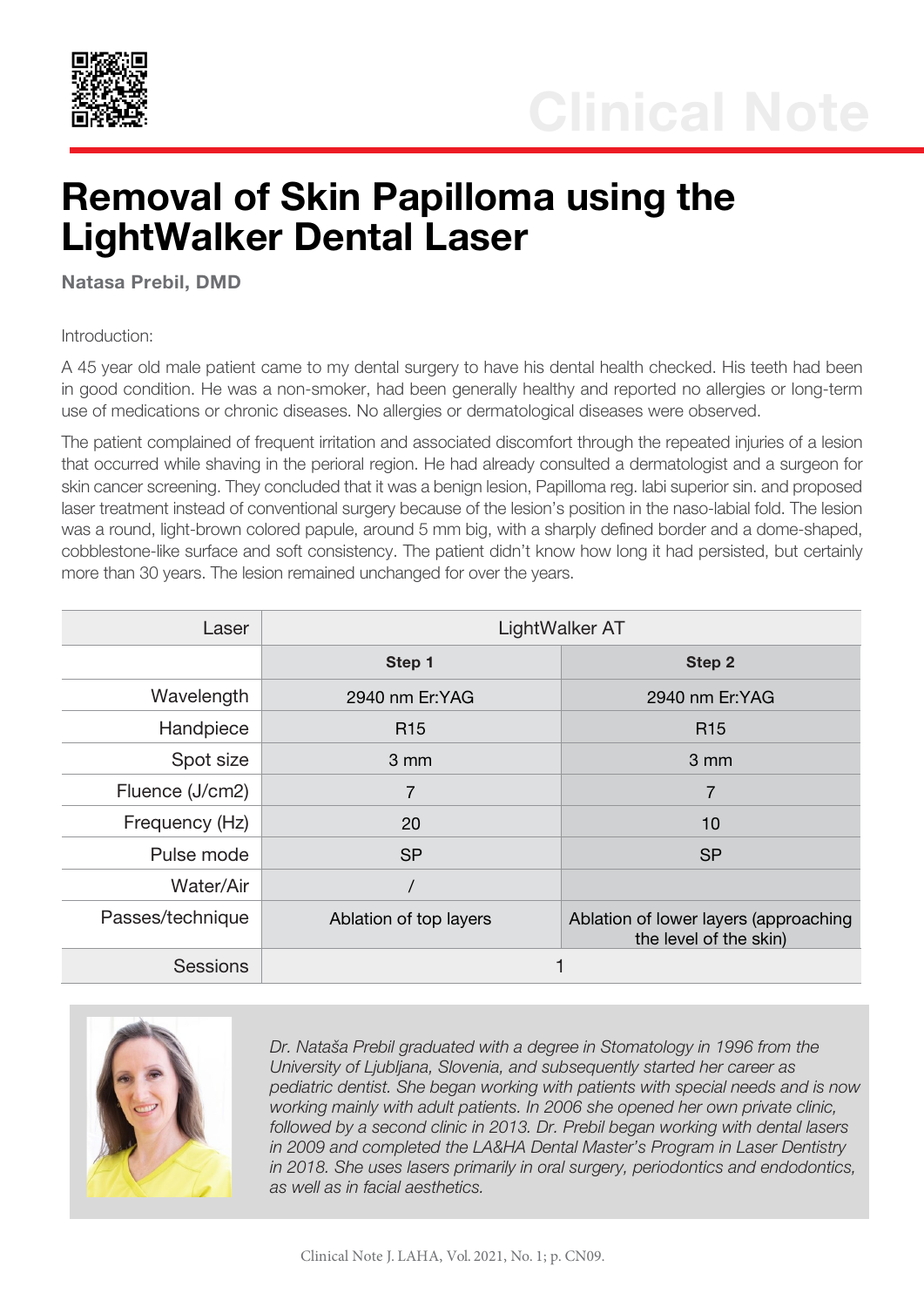

## Removal of Skin Papilloma using the LightWalker Dental Laser

Natasa Prebil, DMD

Introduction:

A 45 year old male patient came to my dental surgery to have his dental health checked. His teeth had been in good condition. He was a non-smoker, had been generally healthy and reported no allergies or long-term use of medications or chronic diseases. No allergies or dermatological diseases were observed.

The patient complained of frequent irritation and associated discomfort through the repeated injuries of a lesion that occurred while shaving in the perioral region. He had already consulted a dermatologist and a surgeon for skin cancer screening. They concluded that it was a benign lesion, Papilloma reg. labi superior sin. and proposed laser treatment instead of conventional surgery because of the lesion's position in the naso-labial fold. The lesion was a round, light-brown colored papule, around 5 mm big, with a sharply defined border and a dome-shaped, cobblestone-like surface and soft consistency. The patient didn't know how long it had persisted, but certainly more than 30 years. The lesion remained unchanged for over the years.

| Laser            | LightWalker AT         |                                                                 |
|------------------|------------------------|-----------------------------------------------------------------|
|                  | Step 1                 | Step 2                                                          |
| Wavelength       | 2940 nm Er:YAG         | 2940 nm Er:YAG                                                  |
| Handpiece        | R <sub>15</sub>        | R <sub>15</sub>                                                 |
| Spot size        | $3 \, \text{mm}$       | 3 mm                                                            |
| Fluence (J/cm2)  | 7                      | $\overline{7}$                                                  |
| Frequency (Hz)   | 20                     | 10                                                              |
| Pulse mode       | <b>SP</b>              | <b>SP</b>                                                       |
| Water/Air        |                        |                                                                 |
| Passes/technique | Ablation of top layers | Ablation of lower layers (approaching<br>the level of the skin) |
| <b>Sessions</b>  |                        |                                                                 |



*Dr. Nataša Prebil graduated with a degree in Stomatology in 1996 from the University of Ljubljana, Slovenia, and subsequently started her career as pediatric dentist. She began working with patients with special needs and is now working mainly with adult patients. In 2006 she opened her own private clinic, followed by a second clinic in 2013. Dr. Prebil began working with dental lasers in 2009 and completed the LA&HA Dental Master's Program in Laser Dentistry in 2018. She uses lasers primarily in oral surgery, periodontics and endodontics, as well as in facial aesthetics.*